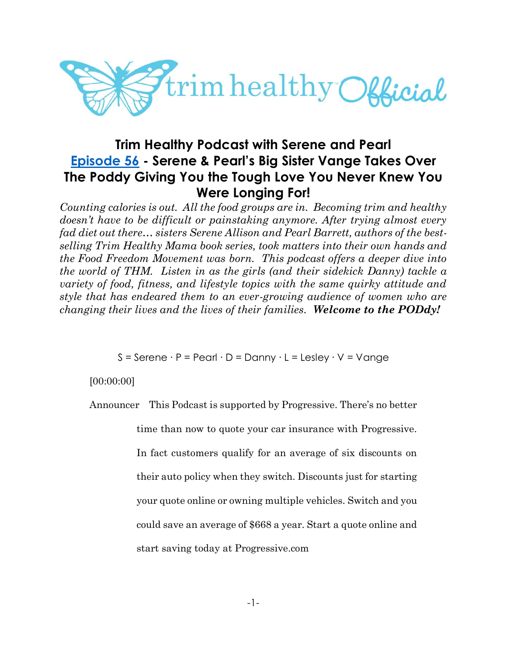

# **Trim Healthy Podcast with Serene and Pearl [Episode 56](https://cms.megaphone.fm/channel/trimhealthypodcast?selected=ADL5724154093) - Serene & Pearl's Big Sister Vange Takes Over The Poddy Giving You the Tough Love You Never Knew You Were Longing For!**

*Counting calories is out. All the food groups are in. Becoming trim and healthy doesn't have to be difficult or painstaking anymore. After trying almost every fad diet out there… sisters Serene Allison and Pearl Barrett, authors of the bestselling Trim Healthy Mama book series, took matters into their own hands and the Food Freedom Movement was born. This podcast offers a deeper dive into the world of THM. Listen in as the girls (and their sidekick Danny) tackle a variety of food, fitness, and lifestyle topics with the same quirky attitude and style that has endeared them to an ever-growing audience of women who are changing their lives and the lives of their families. Welcome to the PODdy!*

S = Serene ∙ P = Pearl ∙ D = Danny ∙ L = Lesley ∙ V = Vange

[00:00:00]

Announcer This Podcast is supported by Progressive. There's no better

time than now to quote your car insurance with Progressive.

In fact customers qualify for an average of six discounts on their auto policy when they switch. Discounts just for starting your quote online or owning multiple vehicles. Switch and you could save an average of \$668 a year. Start a quote online and start saving today at Progressive.com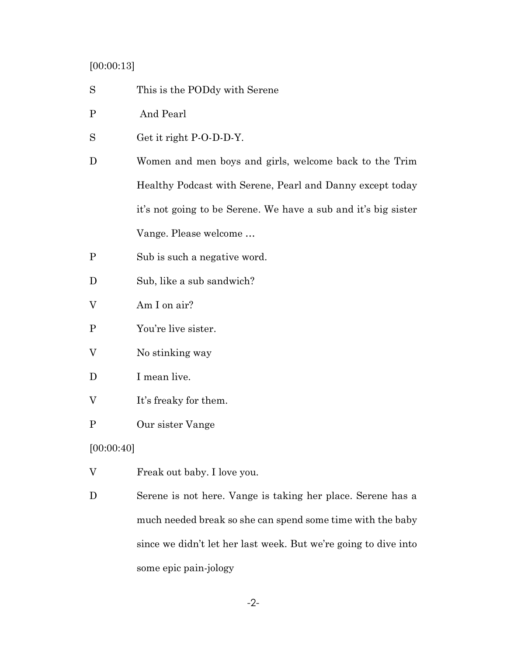# [00:00:13]

- S This is the PODdy with Serene
- P And Pearl
- S Get it right P-O-D-D-Y.
- D Women and men boys and girls, welcome back to the Trim Healthy Podcast with Serene, Pearl and Danny except today it's not going to be Serene. We have a sub and it's big sister Vange. Please welcome …
- P Sub is such a negative word.
- D Sub, like a sub sandwich?
- V Am I on air?
- P You're live sister.
- V No stinking way
- D I mean live.
- V It's freaky for them.
- P Our sister Vange

## [00:00:40]

- V Freak out baby. I love you.
- D Serene is not here. Vange is taking her place. Serene has a much needed break so she can spend some time with the baby since we didn't let her last week. But we're going to dive into some epic pain-jology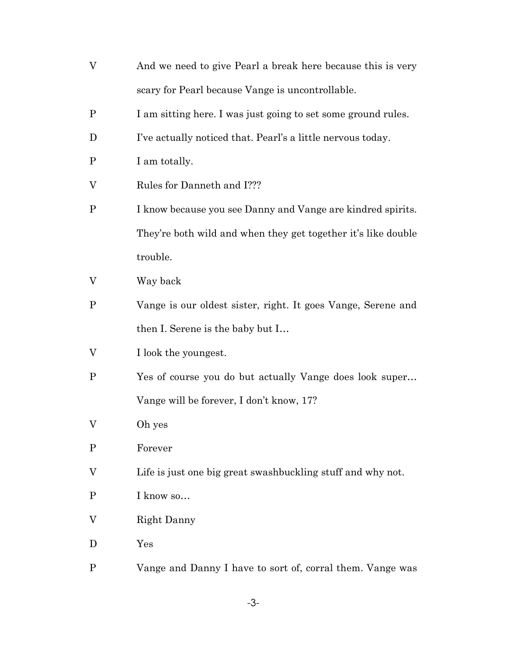| V            | And we need to give Pearl a break here because this is very   |
|--------------|---------------------------------------------------------------|
|              | scary for Pearl because Vange is uncontrollable.              |
| $\mathbf P$  | I am sitting here. I was just going to set some ground rules. |
| D            | I've actually noticed that. Pearl's a little nervous today.   |
| $\mathbf{P}$ | I am totally.                                                 |
| V            | Rules for Danneth and I???                                    |
| $\mathbf P$  | I know because you see Danny and Vange are kindred spirits.   |
|              | They're both wild and when they get together it's like double |
|              | trouble.                                                      |
| V            | Way back                                                      |
| P            | Vange is our oldest sister, right. It goes Vange, Serene and  |
|              | then I. Serene is the baby but I                              |
| V            | I look the youngest.                                          |
| $\mathbf P$  | Yes of course you do but actually Vange does look super       |
|              | Vange will be forever, I don't know, 17?                      |
| V            | Oh yes                                                        |
| $\mathbf P$  | Forever                                                       |
| V            | Life is just one big great swashbuckling stuff and why not.   |
| $\mathbf P$  | I know so                                                     |
| V            | Right Danny                                                   |
| D            | Yes                                                           |
| $\mathbf P$  | Vange and Danny I have to sort of, corral them. Vange was     |

-3-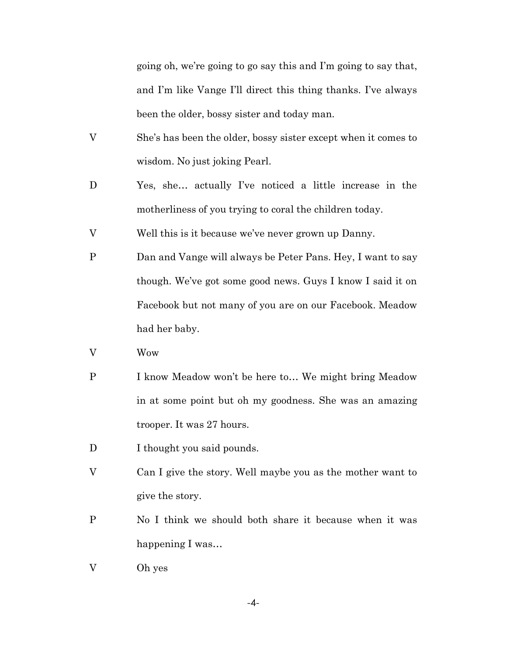going oh, we're going to go say this and I'm going to say that, and I'm like Vange I'll direct this thing thanks. I've always been the older, bossy sister and today man.

- V She's has been the older, bossy sister except when it comes to wisdom. No just joking Pearl.
- D Yes, she… actually I've noticed a little increase in the motherliness of you trying to coral the children today.
- V Well this is it because we've never grown up Danny.
- P Dan and Vange will always be Peter Pans. Hey, I want to say though. We've got some good news. Guys I know I said it on Facebook but not many of you are on our Facebook. Meadow had her baby.
- V Wow
- P I know Meadow won't be here to… We might bring Meadow in at some point but oh my goodness. She was an amazing trooper. It was 27 hours.
- D I thought you said pounds.
- V Can I give the story. Well maybe you as the mother want to give the story.
- P No I think we should both share it because when it was happening I was…
- V Oh yes

-4-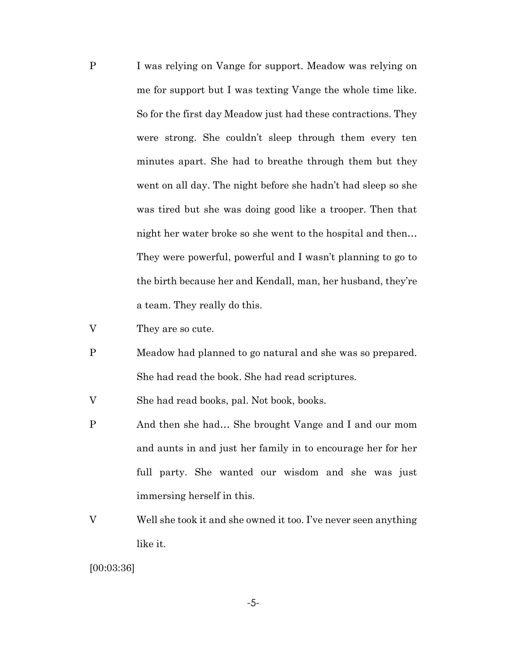- P I was relying on Vange for support. Meadow was relying on me for support but I was texting Vange the whole time like. So for the first day Meadow just had these contractions. They were strong. She couldn't sleep through them every ten minutes apart. She had to breathe through them but they went on all day. The night before she hadn't had sleep so she was tired but she was doing good like a trooper. Then that night her water broke so she went to the hospital and then… They were powerful, powerful and I wasn't planning to go to the birth because her and Kendall, man, her husband, they're a team. They really do this.
- V They are so cute.
- P Meadow had planned to go natural and she was so prepared. She had read the book. She had read scriptures.

V She had read books, pal. Not book, books.

- P And then she had… She brought Vange and I and our mom and aunts in and just her family in to encourage her for her full party. She wanted our wisdom and she was just immersing herself in this.
- V Well she took it and she owned it too. I've never seen anything like it.

[00:03:36]

-5-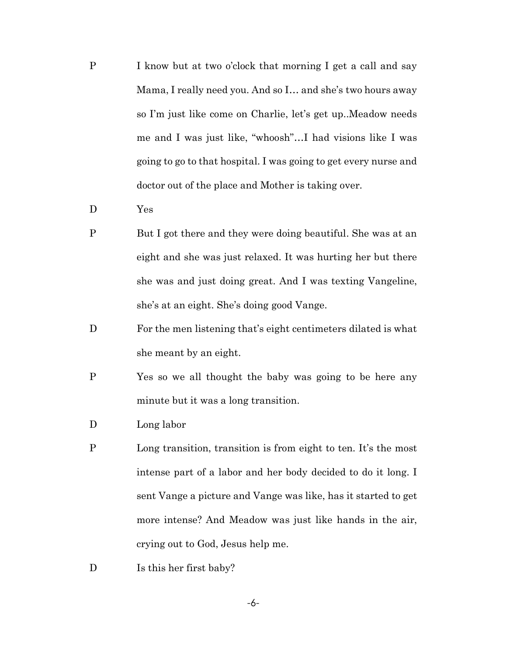- P I know but at two o'clock that morning I get a call and say Mama, I really need you. And so I… and she's two hours away so I'm just like come on Charlie, let's get up..Meadow needs me and I was just like, "whoosh"…I had visions like I was going to go to that hospital. I was going to get every nurse and doctor out of the place and Mother is taking over.
- D Yes
- P But I got there and they were doing beautiful. She was at an eight and she was just relaxed. It was hurting her but there she was and just doing great. And I was texting Vangeline, she's at an eight. She's doing good Vange.
- D For the men listening that's eight centimeters dilated is what she meant by an eight.
- P Yes so we all thought the baby was going to be here any minute but it was a long transition.
- D Long labor
- P Long transition, transition is from eight to ten. It's the most intense part of a labor and her body decided to do it long. I sent Vange a picture and Vange was like, has it started to get more intense? And Meadow was just like hands in the air, crying out to God, Jesus help me.
- D Is this her first baby?

-6-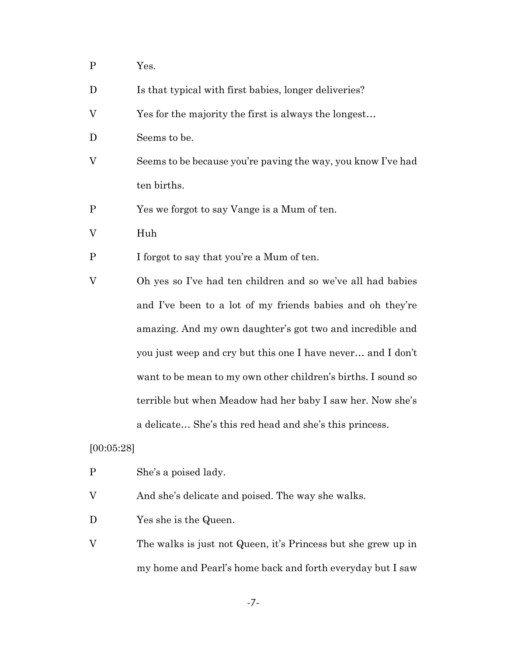- P Yes.
- D Is that typical with first babies, longer deliveries?
- V Yes for the majority the first is always the longest…
- D Seems to be.
- V Seems to be because you're paving the way, you know I've had ten births.
- P Yes we forgot to say Vange is a Mum of ten.
- V Huh
- P I forgot to say that you're a Mum of ten.
- V Oh yes so I've had ten children and so we've all had babies and I've been to a lot of my friends babies and oh they're amazing. And my own daughter's got two and incredible and you just weep and cry but this one I have never… and I don't want to be mean to my own other children's births. I sound so terrible but when Meadow had her baby I saw her. Now she's a delicate… She's this red head and she's this princess.

## [00:05:28]

- P She's a poised lady.
- V And she's delicate and poised. The way she walks.
- D Yes she is the Queen.
- V The walks is just not Queen, it's Princess but she grew up in my home and Pearl's home back and forth everyday but I saw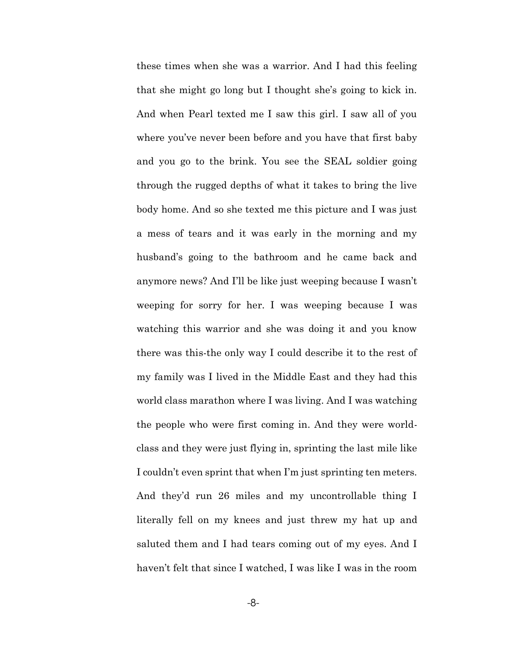these times when she was a warrior. And I had this feeling that she might go long but I thought she's going to kick in. And when Pearl texted me I saw this girl. I saw all of you where you've never been before and you have that first baby and you go to the brink. You see the SEAL soldier going through the rugged depths of what it takes to bring the live body home. And so she texted me this picture and I was just a mess of tears and it was early in the morning and my husband's going to the bathroom and he came back and anymore news? And I'll be like just weeping because I wasn't weeping for sorry for her. I was weeping because I was watching this warrior and she was doing it and you know there was this-the only way I could describe it to the rest of my family was I lived in the Middle East and they had this world class marathon where I was living. And I was watching the people who were first coming in. And they were worldclass and they were just flying in, sprinting the last mile like I couldn't even sprint that when I'm just sprinting ten meters. And they'd run 26 miles and my uncontrollable thing I literally fell on my knees and just threw my hat up and saluted them and I had tears coming out of my eyes. And I haven't felt that since I watched, I was like I was in the room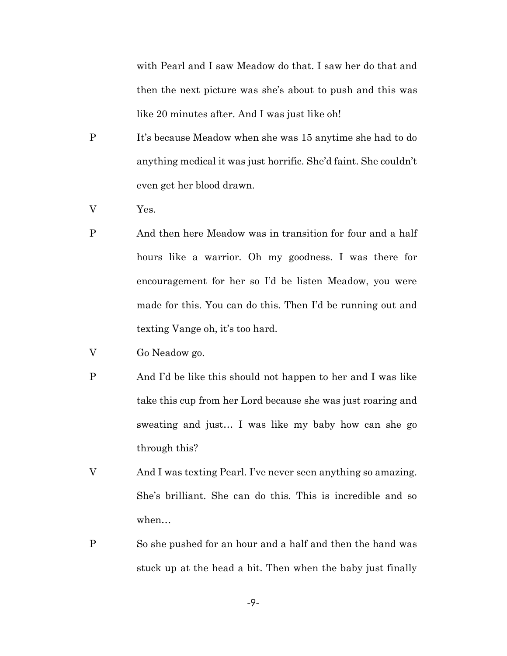with Pearl and I saw Meadow do that. I saw her do that and then the next picture was she's about to push and this was like 20 minutes after. And I was just like oh!

- P It's because Meadow when she was 15 anytime she had to do anything medical it was just horrific. She'd faint. She couldn't even get her blood drawn.
- V Yes.
- P And then here Meadow was in transition for four and a half hours like a warrior. Oh my goodness. I was there for encouragement for her so I'd be listen Meadow, you were made for this. You can do this. Then I'd be running out and texting Vange oh, it's too hard.
- V Go Neadow go.
- P And I'd be like this should not happen to her and I was like take this cup from her Lord because she was just roaring and sweating and just… I was like my baby how can she go through this?
- V And I was texting Pearl. I've never seen anything so amazing. She's brilliant. She can do this. This is incredible and so when…
- P So she pushed for an hour and a half and then the hand was stuck up at the head a bit. Then when the baby just finally

-9-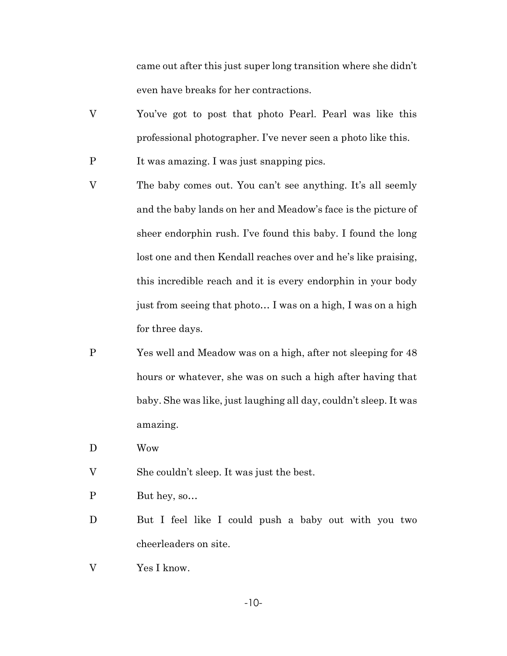came out after this just super long transition where she didn't even have breaks for her contractions.

- V You've got to post that photo Pearl. Pearl was like this professional photographer. I've never seen a photo like this.
- P It was amazing. I was just snapping pics.
- V The baby comes out. You can't see anything. It's all seemly and the baby lands on her and Meadow's face is the picture of sheer endorphin rush. I've found this baby. I found the long lost one and then Kendall reaches over and he's like praising, this incredible reach and it is every endorphin in your body just from seeing that photo… I was on a high, I was on a high for three days.
- P Yes well and Meadow was on a high, after not sleeping for 48 hours or whatever, she was on such a high after having that baby. She was like, just laughing all day, couldn't sleep. It was amazing.
- D Wow
- V She couldn't sleep. It was just the best.
- P But hey, so…
- D But I feel like I could push a baby out with you two cheerleaders on site.
- V Yes I know.

-10-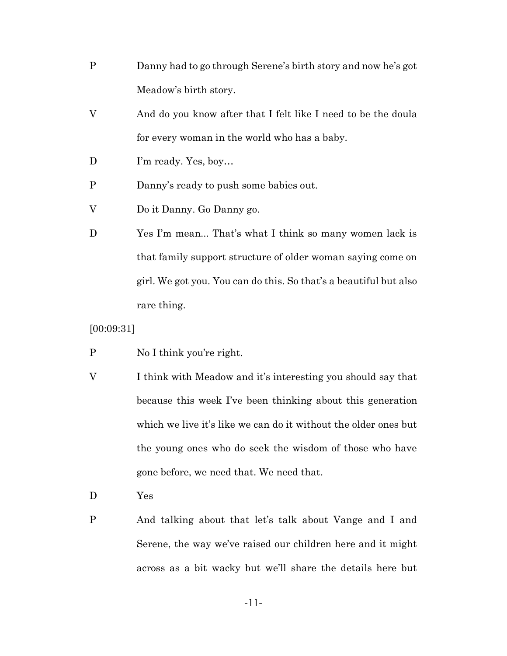- P Danny had to go through Serene's birth story and now he's got Meadow's birth story.
- V And do you know after that I felt like I need to be the doula for every woman in the world who has a baby.
- D I'm ready. Yes, boy...
- P Danny's ready to push some babies out.
- V Do it Danny. Go Danny go.
- D Yes I'm mean... That's what I think so many women lack is that family support structure of older woman saying come on girl. We got you. You can do this. So that's a beautiful but also rare thing.

[00:09:31]

- P No I think you're right.
- V I think with Meadow and it's interesting you should say that because this week I've been thinking about this generation which we live it's like we can do it without the older ones but the young ones who do seek the wisdom of those who have gone before, we need that. We need that.
- D Yes
- P And talking about that let's talk about Vange and I and Serene, the way we've raised our children here and it might across as a bit wacky but we'll share the details here but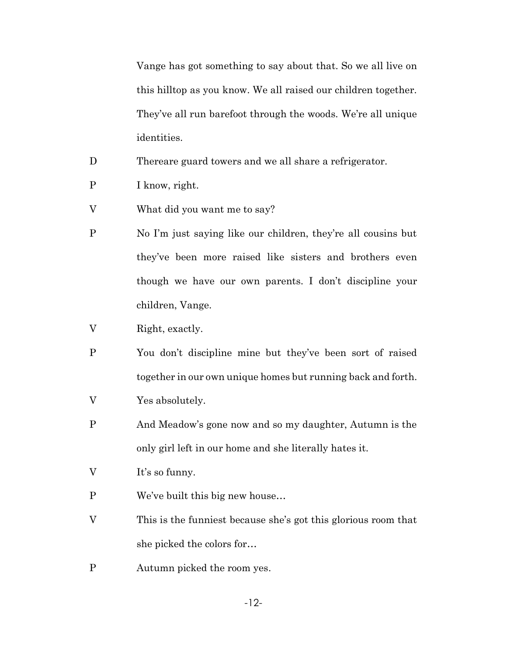Vange has got something to say about that. So we all live on this hilltop as you know. We all raised our children together. They've all run barefoot through the woods. We're all unique identities.

D Thereare guard towers and we all share a refrigerator.

- P I know, right.
- V What did you want me to say?
- P No I'm just saying like our children, they're all cousins but they've been more raised like sisters and brothers even though we have our own parents. I don't discipline your children, Vange.
- V Right, exactly.
- P You don't discipline mine but they've been sort of raised together in our own unique homes but running back and forth.
- V Yes absolutely.
- P And Meadow's gone now and so my daughter, Autumn is the only girl left in our home and she literally hates it.
- V It's so funny.
- P We've built this big new house…
- V This is the funniest because she's got this glorious room that she picked the colors for…
- P Autumn picked the room yes.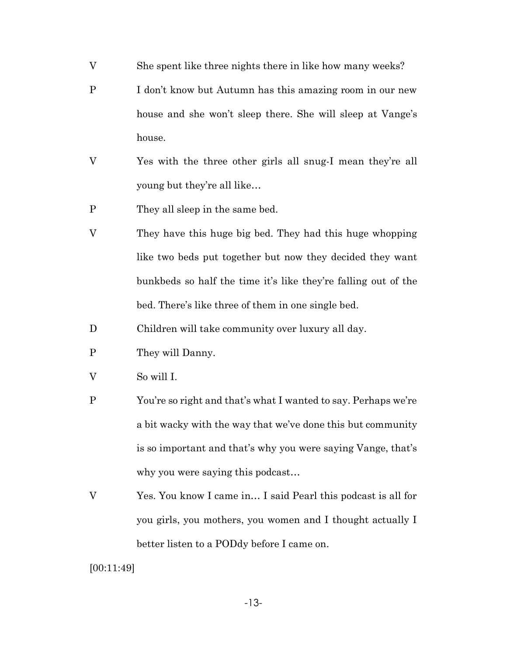- V She spent like three nights there in like how many weeks?
- P I don't know but Autumn has this amazing room in our new house and she won't sleep there. She will sleep at Vange's house.
- V Yes with the three other girls all snug-I mean they're all young but they're all like…
- P They all sleep in the same bed.
- V They have this huge big bed. They had this huge whopping like two beds put together but now they decided they want bunkbeds so half the time it's like they're falling out of the bed. There's like three of them in one single bed.
- D Children will take community over luxury all day.
- P They will Danny.
- V So will I.
- P You're so right and that's what I wanted to say. Perhaps we're a bit wacky with the way that we've done this but community is so important and that's why you were saying Vange, that's why you were saying this podcast…
- V Yes. You know I came in… I said Pearl this podcast is all for you girls, you mothers, you women and I thought actually I better listen to a PODdy before I came on.

[00:11:49]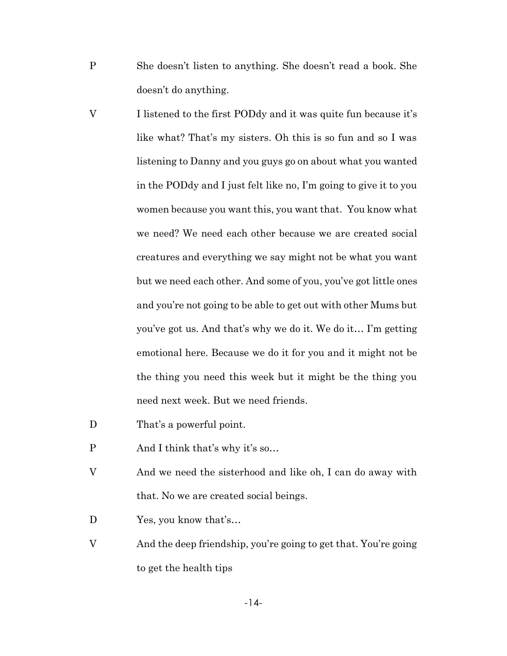- P She doesn't listen to anything. She doesn't read a book. She doesn't do anything.
- V I listened to the first PODdy and it was quite fun because it's like what? That's my sisters. Oh this is so fun and so I was listening to Danny and you guys go on about what you wanted in the PODdy and I just felt like no, I'm going to give it to you women because you want this, you want that. You know what we need? We need each other because we are created social creatures and everything we say might not be what you want but we need each other. And some of you, you've got little ones and you're not going to be able to get out with other Mums but you've got us. And that's why we do it. We do it… I'm getting emotional here. Because we do it for you and it might not be the thing you need this week but it might be the thing you need next week. But we need friends.
- D That's a powerful point.
- P And I think that's why it's so…
- V And we need the sisterhood and like oh, I can do away with that. No we are created social beings.
- D Yes, you know that's...
- V And the deep friendship, you're going to get that. You're going to get the health tips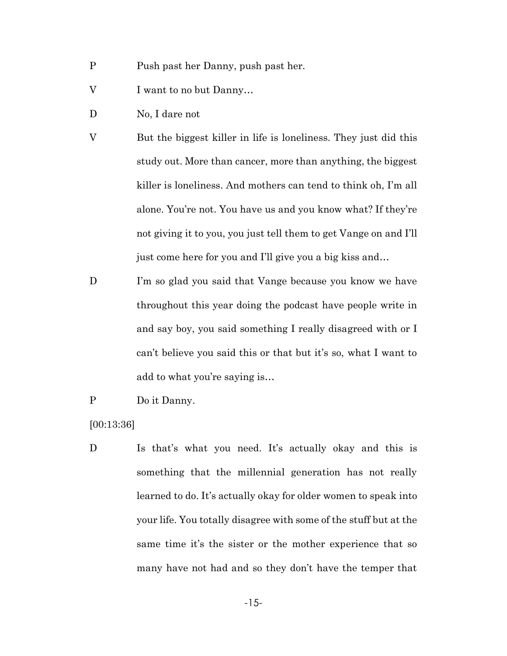- P Push past her Danny, push past her.
- V I want to no but Danny…
- D No, I dare not
- V But the biggest killer in life is loneliness. They just did this study out. More than cancer, more than anything, the biggest killer is loneliness. And mothers can tend to think oh, I'm all alone. You're not. You have us and you know what? If they're not giving it to you, you just tell them to get Vange on and I'll just come here for you and I'll give you a big kiss and…
- D I'm so glad you said that Vange because you know we have throughout this year doing the podcast have people write in and say boy, you said something I really disagreed with or I can't believe you said this or that but it's so, what I want to add to what you're saying is…
- P Do it Danny.

[00:13:36]

D Is that's what you need. It's actually okay and this is something that the millennial generation has not really learned to do. It's actually okay for older women to speak into your life. You totally disagree with some of the stuff but at the same time it's the sister or the mother experience that so many have not had and so they don't have the temper that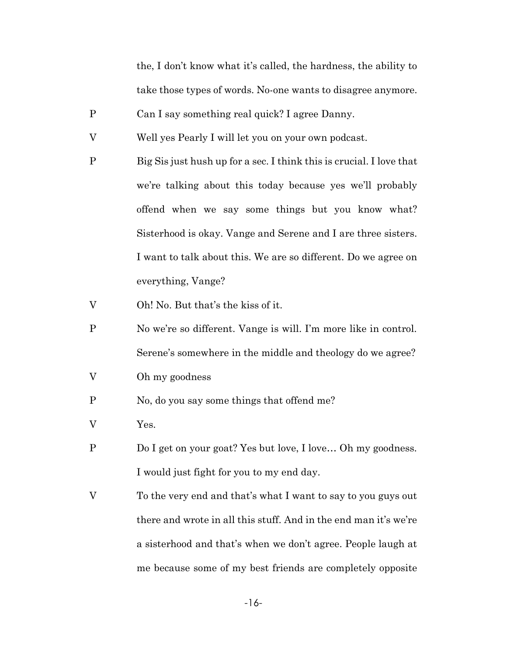the, I don't know what it's called, the hardness, the ability to take those types of words. No-one wants to disagree anymore.

- P Can I say something real quick? I agree Danny.
- V Well yes Pearly I will let you on your own podcast.
- P Big Sis just hush up for a sec. I think this is crucial. I love that we're talking about this today because yes we'll probably offend when we say some things but you know what? Sisterhood is okay. Vange and Serene and I are three sisters. I want to talk about this. We are so different. Do we agree on everything, Vange?
- V Oh! No. But that's the kiss of it.
- P No we're so different. Vange is will. I'm more like in control. Serene's somewhere in the middle and theology do we agree?
- V Oh my goodness
- P No, do you say some things that offend me?
- V Yes.
- P Do I get on your goat? Yes but love, I love… Oh my goodness. I would just fight for you to my end day.
- V To the very end and that's what I want to say to you guys out there and wrote in all this stuff. And in the end man it's we're a sisterhood and that's when we don't agree. People laugh at me because some of my best friends are completely opposite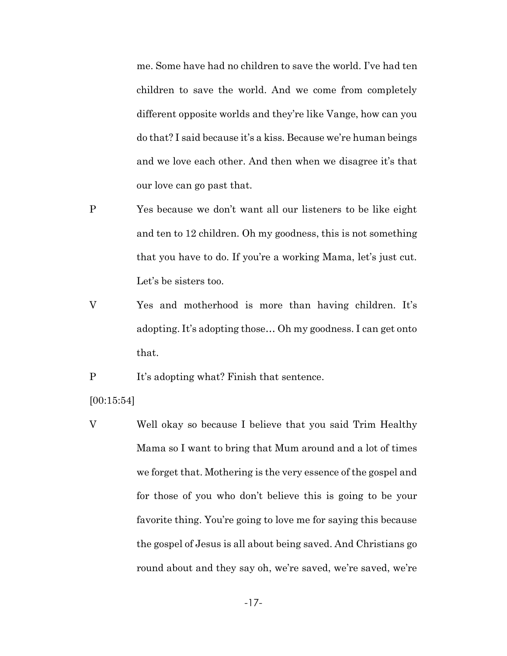me. Some have had no children to save the world. I've had ten children to save the world. And we come from completely different opposite worlds and they're like Vange, how can you do that? I said because it's a kiss. Because we're human beings and we love each other. And then when we disagree it's that our love can go past that.

- P Yes because we don't want all our listeners to be like eight and ten to 12 children. Oh my goodness, this is not something that you have to do. If you're a working Mama, let's just cut. Let's be sisters too.
- V Yes and motherhood is more than having children. It's adopting. It's adopting those… Oh my goodness. I can get onto that.

P It's adopting what? Finish that sentence.

[00:15:54]

V Well okay so because I believe that you said Trim Healthy Mama so I want to bring that Mum around and a lot of times we forget that. Mothering is the very essence of the gospel and for those of you who don't believe this is going to be your favorite thing. You're going to love me for saying this because the gospel of Jesus is all about being saved. And Christians go round about and they say oh, we're saved, we're saved, we're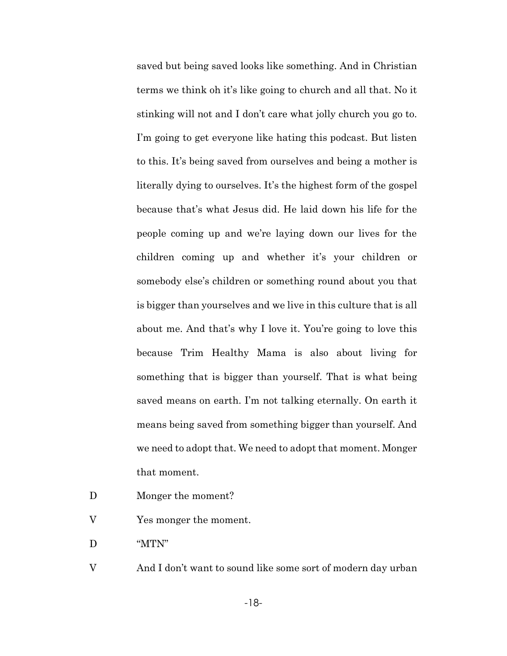saved but being saved looks like something. And in Christian terms we think oh it's like going to church and all that. No it stinking will not and I don't care what jolly church you go to. I'm going to get everyone like hating this podcast. But listen to this. It's being saved from ourselves and being a mother is literally dying to ourselves. It's the highest form of the gospel because that's what Jesus did. He laid down his life for the people coming up and we're laying down our lives for the children coming up and whether it's your children or somebody else's children or something round about you that is bigger than yourselves and we live in this culture that is all about me. And that's why I love it. You're going to love this because Trim Healthy Mama is also about living for something that is bigger than yourself. That is what being saved means on earth. I'm not talking eternally. On earth it means being saved from something bigger than yourself. And we need to adopt that. We need to adopt that moment. Monger that moment.

- D Monger the moment?
- V Yes monger the moment.
- D "MTN"
- V And I don't want to sound like some sort of modern day urban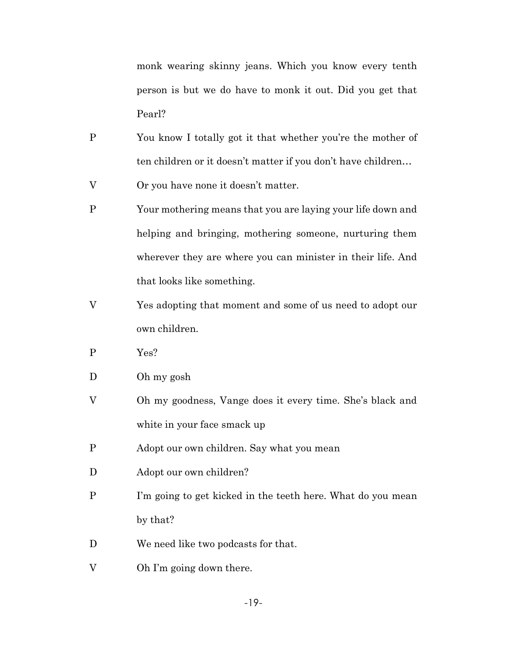monk wearing skinny jeans. Which you know every tenth person is but we do have to monk it out. Did you get that Pearl?

- P You know I totally got it that whether you're the mother of ten children or it doesn't matter if you don't have children…
- V Or you have none it doesn't matter.
- P Your mothering means that you are laying your life down and helping and bringing, mothering someone, nurturing them wherever they are where you can minister in their life. And that looks like something.
- V Yes adopting that moment and some of us need to adopt our own children.
- P Yes?
- D Oh my gosh
- V Oh my goodness, Vange does it every time. She's black and white in your face smack up
- P Adopt our own children. Say what you mean
- D Adopt our own children?
- P I'm going to get kicked in the teeth here. What do you mean by that?
- D We need like two podcasts for that.
- V Oh I'm going down there.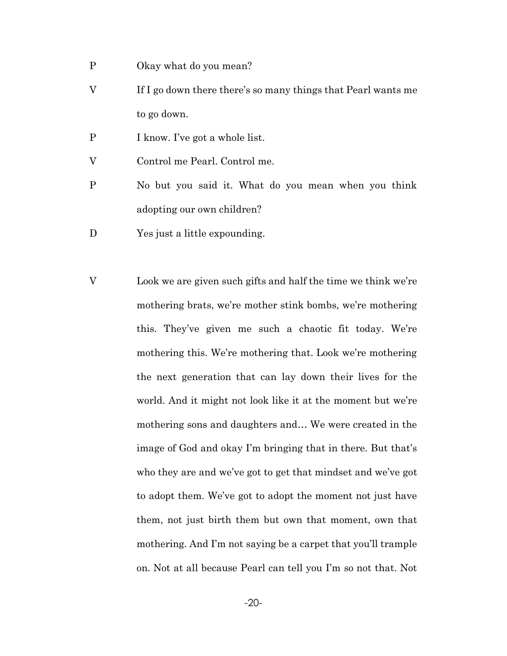- P Okay what do you mean?
- V If I go down there there's so many things that Pearl wants me to go down.
- P I know. I've got a whole list.
- V Control me Pearl. Control me.
- P No but you said it. What do you mean when you think adopting our own children?
- D Yes just a little expounding.
- V Look we are given such gifts and half the time we think we're mothering brats, we're mother stink bombs, we're mothering this. They've given me such a chaotic fit today. We're mothering this. We're mothering that. Look we're mothering the next generation that can lay down their lives for the world. And it might not look like it at the moment but we're mothering sons and daughters and… We were created in the image of God and okay I'm bringing that in there. But that's who they are and we've got to get that mindset and we've got to adopt them. We've got to adopt the moment not just have them, not just birth them but own that moment, own that mothering. And I'm not saying be a carpet that you'll trample on. Not at all because Pearl can tell you I'm so not that. Not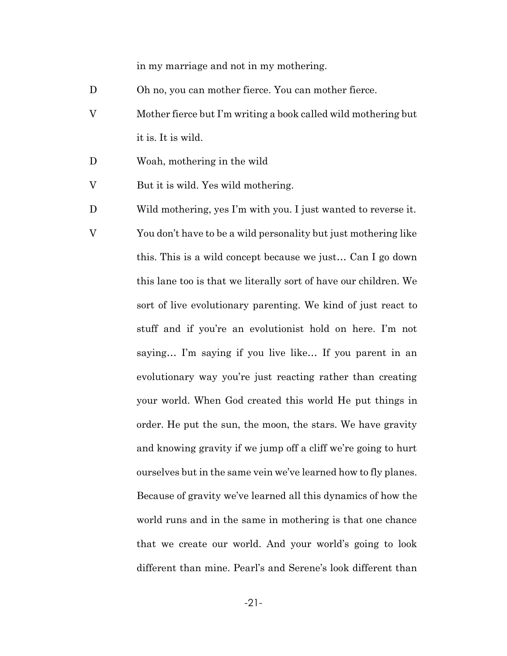in my marriage and not in my mothering.

- D Oh no, you can mother fierce. You can mother fierce.
- V Mother fierce but I'm writing a book called wild mothering but it is. It is wild.
- D Woah, mothering in the wild
- V But it is wild. Yes wild mothering.
- D Wild mothering, yes I'm with you. I just wanted to reverse it.
- V You don't have to be a wild personality but just mothering like this. This is a wild concept because we just… Can I go down this lane too is that we literally sort of have our children. We sort of live evolutionary parenting. We kind of just react to stuff and if you're an evolutionist hold on here. I'm not saying… I'm saying if you live like… If you parent in an evolutionary way you're just reacting rather than creating your world. When God created this world He put things in order. He put the sun, the moon, the stars. We have gravity and knowing gravity if we jump off a cliff we're going to hurt ourselves but in the same vein we've learned how to fly planes. Because of gravity we've learned all this dynamics of how the world runs and in the same in mothering is that one chance that we create our world. And your world's going to look different than mine. Pearl's and Serene's look different than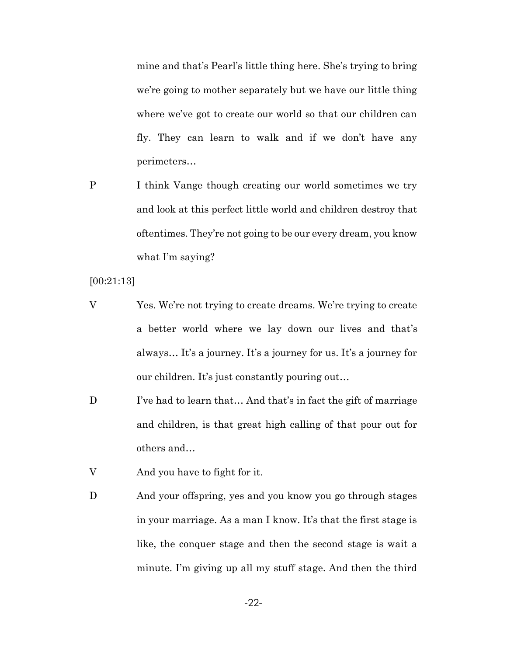mine and that's Pearl's little thing here. She's trying to bring we're going to mother separately but we have our little thing where we've got to create our world so that our children can fly. They can learn to walk and if we don't have any perimeters…

P I think Vange though creating our world sometimes we try and look at this perfect little world and children destroy that oftentimes. They're not going to be our every dream, you know what I'm saying?

[00:21:13]

- V Yes. We're not trying to create dreams. We're trying to create a better world where we lay down our lives and that's always… It's a journey. It's a journey for us. It's a journey for our children. It's just constantly pouring out…
- D I've had to learn that... And that's in fact the gift of marriage and children, is that great high calling of that pour out for others and…
- V And you have to fight for it.
- D And your offspring, yes and you know you go through stages in your marriage. As a man I know. It's that the first stage is like, the conquer stage and then the second stage is wait a minute. I'm giving up all my stuff stage. And then the third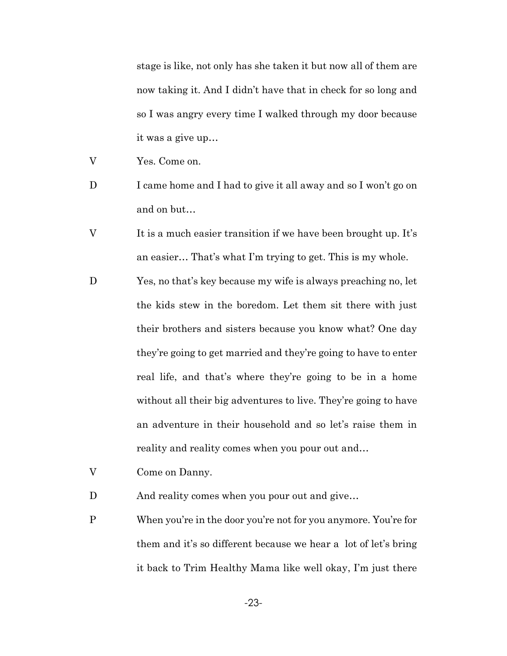stage is like, not only has she taken it but now all of them are now taking it. And I didn't have that in check for so long and so I was angry every time I walked through my door because it was a give up…

- V Yes. Come on.
- D I came home and I had to give it all away and so I won't go on and on but…
- V It is a much easier transition if we have been brought up. It's an easier… That's what I'm trying to get. This is my whole.
- D Yes, no that's key because my wife is always preaching no, let the kids stew in the boredom. Let them sit there with just their brothers and sisters because you know what? One day they're going to get married and they're going to have to enter real life, and that's where they're going to be in a home without all their big adventures to live. They're going to have an adventure in their household and so let's raise them in reality and reality comes when you pour out and…
- V Come on Danny.

D And reality comes when you pour out and give...

P When you're in the door you're not for you anymore. You're for them and it's so different because we hear a lot of let's bring it back to Trim Healthy Mama like well okay, I'm just there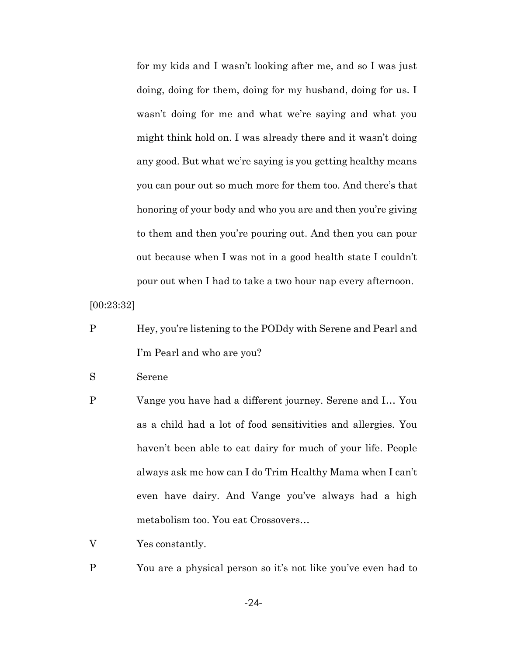for my kids and I wasn't looking after me, and so I was just doing, doing for them, doing for my husband, doing for us. I wasn't doing for me and what we're saying and what you might think hold on. I was already there and it wasn't doing any good. But what we're saying is you getting healthy means you can pour out so much more for them too. And there's that honoring of your body and who you are and then you're giving to them and then you're pouring out. And then you can pour out because when I was not in a good health state I couldn't pour out when I had to take a two hour nap every afternoon.

[00:23:32]

P Hey, you're listening to the PODdy with Serene and Pearl and I'm Pearl and who are you?

S Serene

- P Vange you have had a different journey. Serene and I… You as a child had a lot of food sensitivities and allergies. You haven't been able to eat dairy for much of your life. People always ask me how can I do Trim Healthy Mama when I can't even have dairy. And Vange you've always had a high metabolism too. You eat Crossovers…
- V Yes constantly.
- P You are a physical person so it's not like you've even had to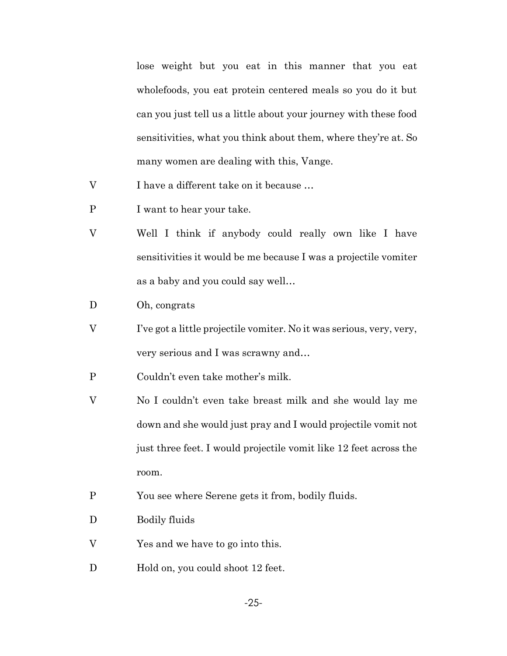lose weight but you eat in this manner that you eat wholefoods, you eat protein centered meals so you do it but can you just tell us a little about your journey with these food sensitivities, what you think about them, where they're at. So many women are dealing with this, Vange.

- V I have a different take on it because …
- P I want to hear your take.
- V Well I think if anybody could really own like I have sensitivities it would be me because I was a projectile vomiter as a baby and you could say well…
- D Oh, congrats
- V I've got a little projectile vomiter. No it was serious, very, very, very serious and I was scrawny and…
- P Couldn't even take mother's milk.
- V No I couldn't even take breast milk and she would lay me down and she would just pray and I would projectile vomit not just three feet. I would projectile vomit like 12 feet across the room.
- P You see where Serene gets it from, bodily fluids.
- D Bodily fluids
- V Yes and we have to go into this.
- D Hold on, you could shoot 12 feet.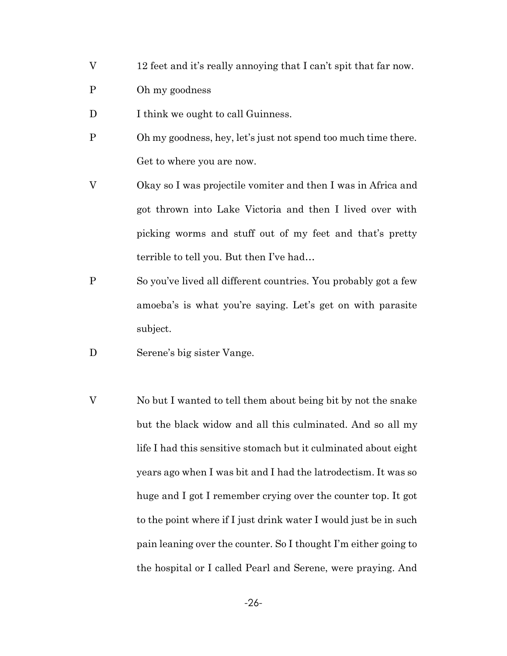- V 12 feet and it's really annoying that I can't spit that far now.
- P Oh my goodness
- D I think we ought to call Guinness.
- P Oh my goodness, hey, let's just not spend too much time there. Get to where you are now.
- V Okay so I was projectile vomiter and then I was in Africa and got thrown into Lake Victoria and then I lived over with picking worms and stuff out of my feet and that's pretty terrible to tell you. But then I've had…
- P So you've lived all different countries. You probably got a few amoeba's is what you're saying. Let's get on with parasite subject.
- D Serene's big sister Vange.
- V No but I wanted to tell them about being bit by not the snake but the black widow and all this culminated. And so all my life I had this sensitive stomach but it culminated about eight years ago when I was bit and I had the latrodectism. It was so huge and I got I remember crying over the counter top. It got to the point where if I just drink water I would just be in such pain leaning over the counter. So I thought I'm either going to the hospital or I called Pearl and Serene, were praying. And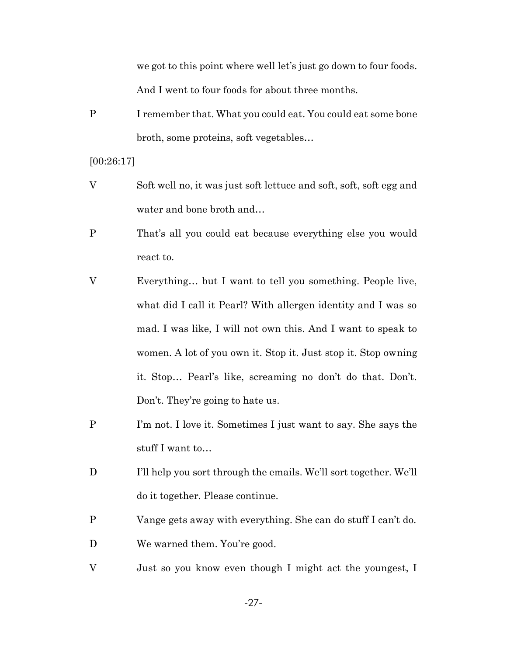we got to this point where well let's just go down to four foods. And I went to four foods for about three months.

P I remember that. What you could eat. You could eat some bone broth, some proteins, soft vegetables…

[00:26:17]

- V Soft well no, it was just soft lettuce and soft, soft, soft egg and water and bone broth and…
- P That's all you could eat because everything else you would react to.
- V Everything… but I want to tell you something. People live, what did I call it Pearl? With allergen identity and I was so mad. I was like, I will not own this. And I want to speak to women. A lot of you own it. Stop it. Just stop it. Stop owning it. Stop… Pearl's like, screaming no don't do that. Don't. Don't. They're going to hate us.
- P I'm not. I love it. Sometimes I just want to say. She says the stuff I want to…
- D I'll help you sort through the emails. We'll sort together. We'll do it together. Please continue.
- P Vange gets away with everything. She can do stuff I can't do.
- D We warned them. You're good.
- V Just so you know even though I might act the youngest, I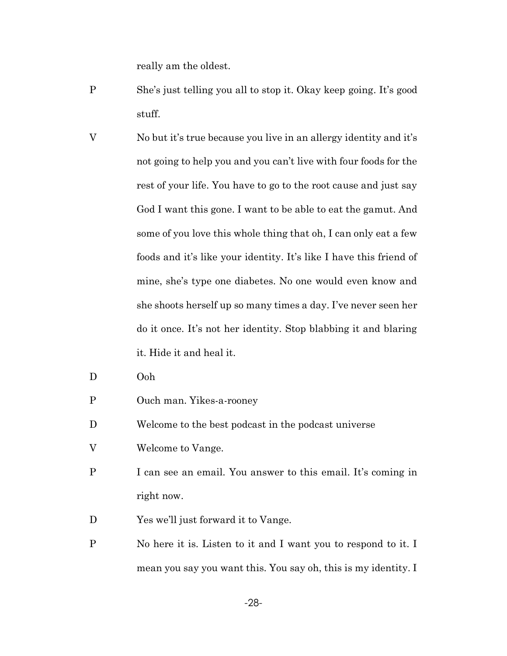really am the oldest.

- P She's just telling you all to stop it. Okay keep going. It's good stuff.
- V No but it's true because you live in an allergy identity and it's not going to help you and you can't live with four foods for the rest of your life. You have to go to the root cause and just say God I want this gone. I want to be able to eat the gamut. And some of you love this whole thing that oh, I can only eat a few foods and it's like your identity. It's like I have this friend of mine, she's type one diabetes. No one would even know and she shoots herself up so many times a day. I've never seen her do it once. It's not her identity. Stop blabbing it and blaring it. Hide it and heal it.
- D Ooh
- P Ouch man. Yikes-a-rooney
- D Welcome to the best podcast in the podcast universe
- V Welcome to Vange.
- P I can see an email. You answer to this email. It's coming in right now.
- D Yes we'll just forward it to Vange.
- P No here it is. Listen to it and I want you to respond to it. I mean you say you want this. You say oh, this is my identity. I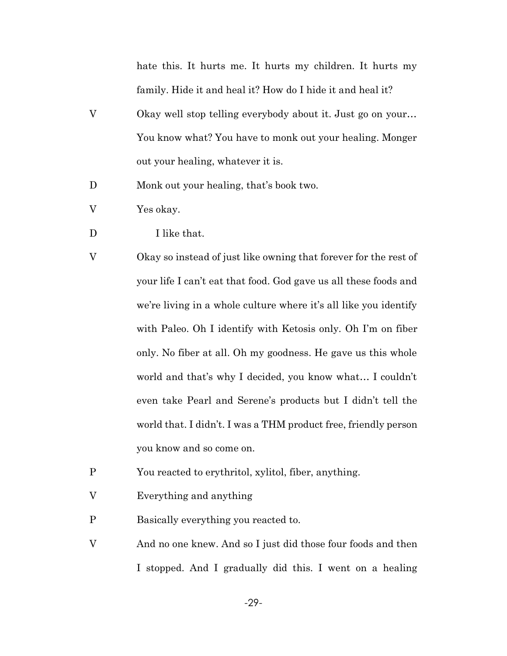hate this. It hurts me. It hurts my children. It hurts my family. Hide it and heal it? How do I hide it and heal it?

- V Okay well stop telling everybody about it. Just go on your… You know what? You have to monk out your healing. Monger out your healing, whatever it is.
- D Monk out your healing, that's book two.
- V Yes okay.
- D I like that.
- V Okay so instead of just like owning that forever for the rest of your life I can't eat that food. God gave us all these foods and we're living in a whole culture where it's all like you identify with Paleo. Oh I identify with Ketosis only. Oh I'm on fiber only. No fiber at all. Oh my goodness. He gave us this whole world and that's why I decided, you know what… I couldn't even take Pearl and Serene's products but I didn't tell the world that. I didn't. I was a THM product free, friendly person you know and so come on.
- P You reacted to erythritol, xylitol, fiber, anything.
- V Everything and anything
- P Basically everything you reacted to.
- V And no one knew. And so I just did those four foods and then I stopped. And I gradually did this. I went on a healing

-29-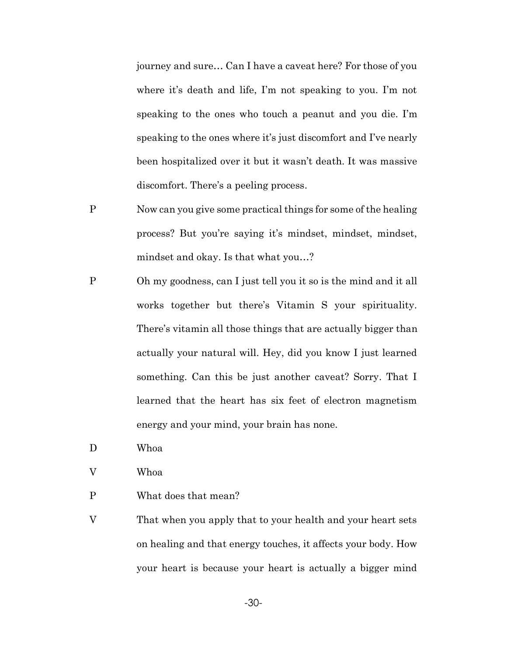journey and sure… Can I have a caveat here? For those of you where it's death and life, I'm not speaking to you. I'm not speaking to the ones who touch a peanut and you die. I'm speaking to the ones where it's just discomfort and I've nearly been hospitalized over it but it wasn't death. It was massive discomfort. There's a peeling process.

- P Now can you give some practical things for some of the healing process? But you're saying it's mindset, mindset, mindset, mindset and okay. Is that what you…?
- P Oh my goodness, can I just tell you it so is the mind and it all works together but there's Vitamin S your spirituality. There's vitamin all those things that are actually bigger than actually your natural will. Hey, did you know I just learned something. Can this be just another caveat? Sorry. That I learned that the heart has six feet of electron magnetism energy and your mind, your brain has none.
- D Whoa
- V Whoa
- P What does that mean?
- V That when you apply that to your health and your heart sets on healing and that energy touches, it affects your body. How your heart is because your heart is actually a bigger mind

-30-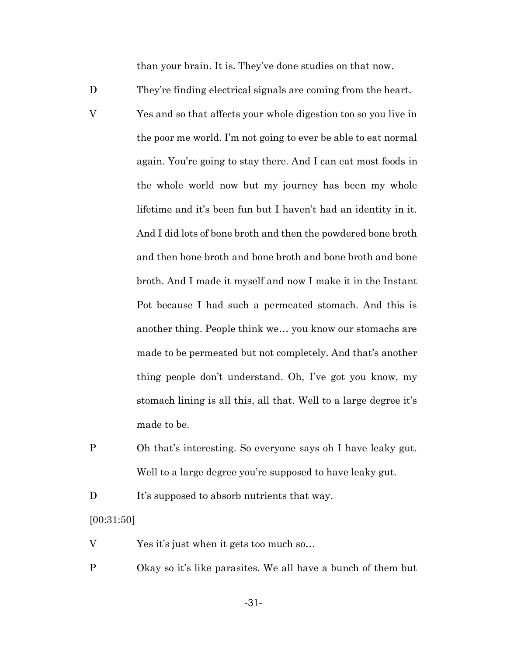than your brain. It is. They've done studies on that now.

- D They're finding electrical signals are coming from the heart.
- V Yes and so that affects your whole digestion too so you live in the poor me world. I'm not going to ever be able to eat normal again. You're going to stay there. And I can eat most foods in the whole world now but my journey has been my whole lifetime and it's been fun but I haven't had an identity in it. And I did lots of bone broth and then the powdered bone broth and then bone broth and bone broth and bone broth and bone broth. And I made it myself and now I make it in the Instant Pot because I had such a permeated stomach. And this is another thing. People think we… you know our stomachs are made to be permeated but not completely. And that's another thing people don't understand. Oh, I've got you know, my stomach lining is all this, all that. Well to a large degree it's made to be.
- P Oh that's interesting. So everyone says oh I have leaky gut. Well to a large degree you're supposed to have leaky gut.

D It's supposed to absorb nutrients that way.

#### [00:31:50]

- V Yes it's just when it gets too much so...
- P Okay so it's like parasites. We all have a bunch of them but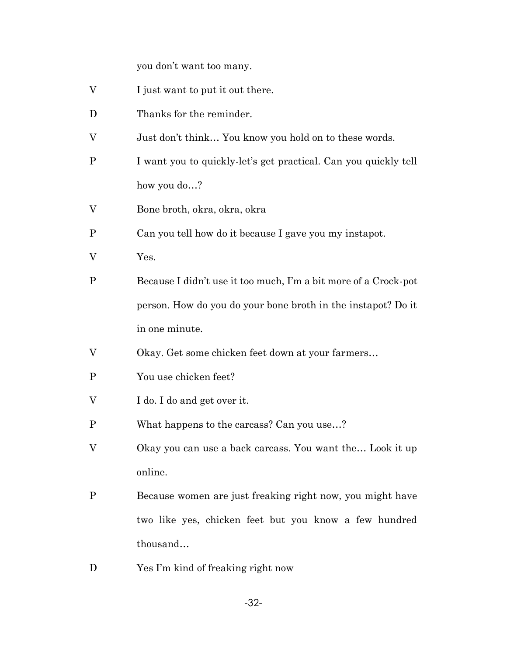you don't want too many.

- V I just want to put it out there.
- D Thanks for the reminder.
- V Just don't think… You know you hold on to these words.
- P I want you to quickly-let's get practical. Can you quickly tell how you do…?
- V Bone broth, okra, okra, okra
- P Can you tell how do it because I gave you my instapot.
- V Yes.
- P Because I didn't use it too much, I'm a bit more of a Crock-pot person. How do you do your bone broth in the instapot? Do it in one minute.
- V Okay. Get some chicken feet down at your farmers…
- P You use chicken feet?
- V I do. I do and get over it.
- P What happens to the carcass? Can you use…?
- V Okay you can use a back carcass. You want the… Look it up online.
- P Because women are just freaking right now, you might have two like yes, chicken feet but you know a few hundred thousand…
- D Yes I'm kind of freaking right now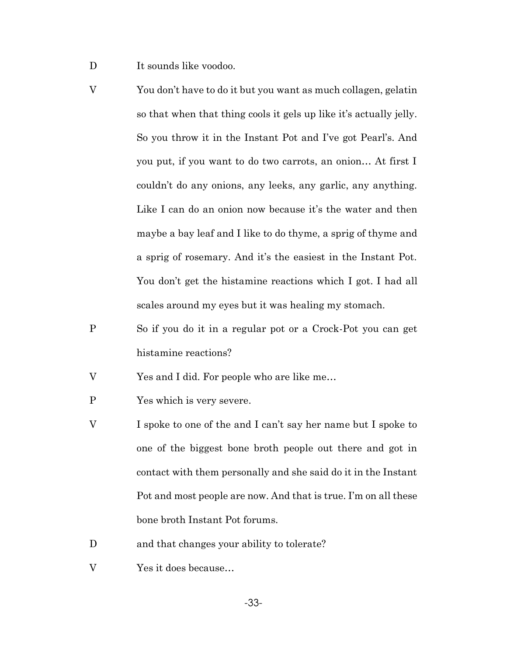- D It sounds like voodoo.
- V You don't have to do it but you want as much collagen, gelatin so that when that thing cools it gels up like it's actually jelly. So you throw it in the Instant Pot and I've got Pearl's. And you put, if you want to do two carrots, an onion… At first I couldn't do any onions, any leeks, any garlic, any anything. Like I can do an onion now because it's the water and then maybe a bay leaf and I like to do thyme, a sprig of thyme and a sprig of rosemary. And it's the easiest in the Instant Pot. You don't get the histamine reactions which I got. I had all scales around my eyes but it was healing my stomach.
- P So if you do it in a regular pot or a Crock-Pot you can get histamine reactions?
- V Yes and I did. For people who are like me…
- P Yes which is very severe.
- V I spoke to one of the and I can't say her name but I spoke to one of the biggest bone broth people out there and got in contact with them personally and she said do it in the Instant Pot and most people are now. And that is true. I'm on all these bone broth Instant Pot forums.
- D and that changes your ability to tolerate?
- V Yes it does because…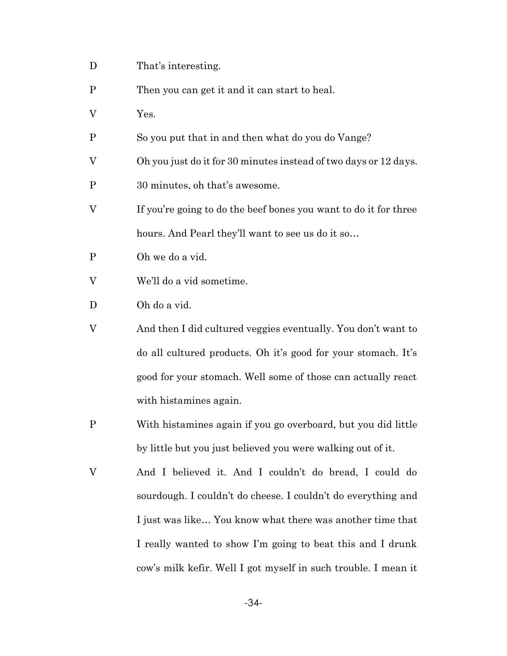- D That's interesting.
- P Then you can get it and it can start to heal.
- V Yes.
- P So you put that in and then what do you do Vange?
- V Oh you just do it for 30 minutes instead of two days or 12 days.
- P 30 minutes, oh that's awesome.
- V If you're going to do the beef bones you want to do it for three hours. And Pearl they'll want to see us do it so…
- P Oh we do a vid.
- V We'll do a vid sometime.
- D Oh do a vid.
- V And then I did cultured veggies eventually. You don't want to do all cultured products. Oh it's good for your stomach. It's good for your stomach. Well some of those can actually react with histamines again.
- P With histamines again if you go overboard, but you did little by little but you just believed you were walking out of it.
- V And I believed it. And I couldn't do bread, I could do sourdough. I couldn't do cheese. I couldn't do everything and I just was like… You know what there was another time that I really wanted to show I'm going to beat this and I drunk cow's milk kefir. Well I got myself in such trouble. I mean it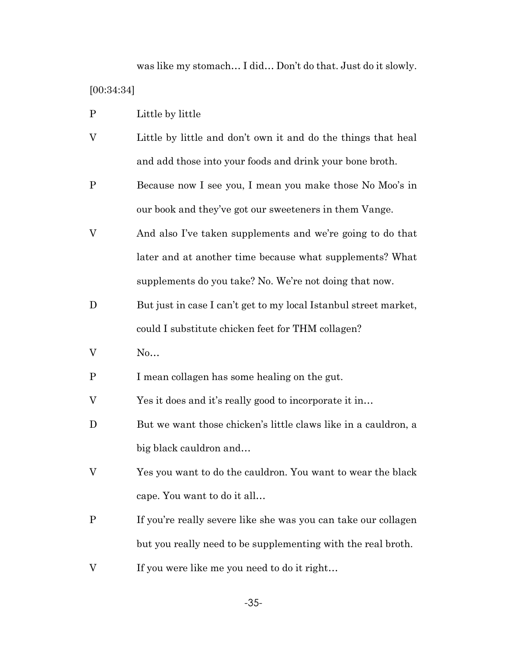was like my stomach… I did… Don't do that. Just do it slowly. [00:34:34]

- P Little by little
- V Little by little and don't own it and do the things that heal and add those into your foods and drink your bone broth.
- P Because now I see you, I mean you make those No Moo's in our book and they've got our sweeteners in them Vange.
- V And also I've taken supplements and we're going to do that later and at another time because what supplements? What supplements do you take? No. We're not doing that now.
- D But just in case I can't get to my local Istanbul street market, could I substitute chicken feet for THM collagen?
- V No…
- P I mean collagen has some healing on the gut.
- V Yes it does and it's really good to incorporate it in…
- D But we want those chicken's little claws like in a cauldron, a big black cauldron and…
- V Yes you want to do the cauldron. You want to wear the black cape. You want to do it all…
- P If you're really severe like she was you can take our collagen but you really need to be supplementing with the real broth.
- V If you were like me you need to do it right…

-35-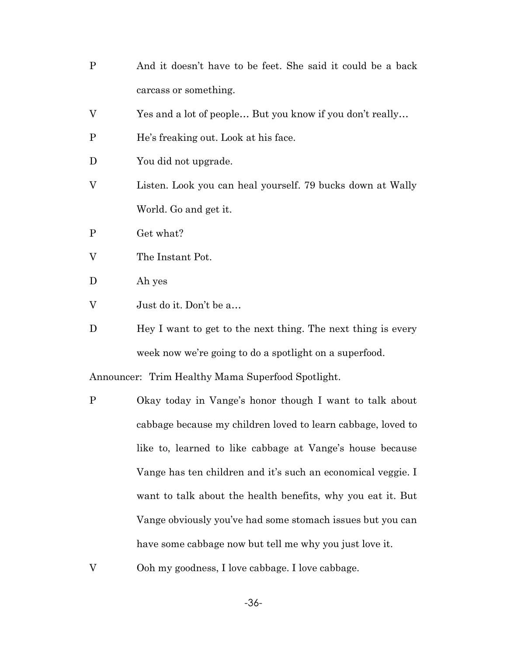- P And it doesn't have to be feet. She said it could be a back carcass or something.
- V Yes and a lot of people… But you know if you don't really…
- P He's freaking out. Look at his face.
- D You did not upgrade.
- V Listen. Look you can heal yourself. 79 bucks down at Wally World. Go and get it.
- P Get what?
- V The Instant Pot.
- D Ah yes
- V Just do it. Don't be a…
- D Hey I want to get to the next thing. The next thing is every week now we're going to do a spotlight on a superfood.

Announcer: Trim Healthy Mama Superfood Spotlight.

- P Okay today in Vange's honor though I want to talk about cabbage because my children loved to learn cabbage, loved to like to, learned to like cabbage at Vange's house because Vange has ten children and it's such an economical veggie. I want to talk about the health benefits, why you eat it. But Vange obviously you've had some stomach issues but you can have some cabbage now but tell me why you just love it.
- V Ooh my goodness, I love cabbage. I love cabbage.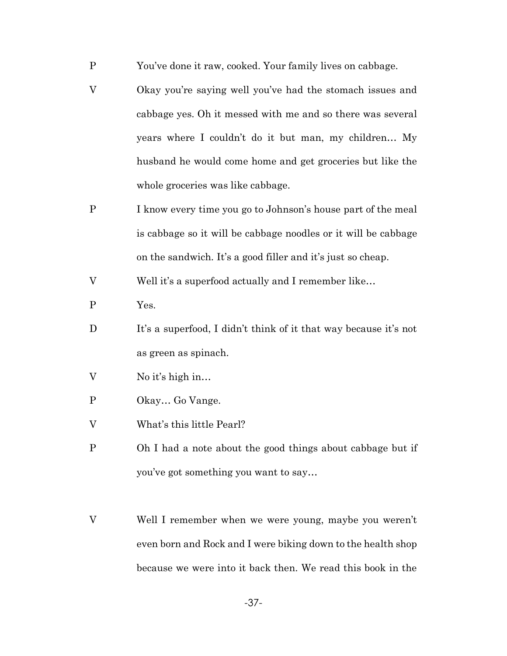- P You've done it raw, cooked. Your family lives on cabbage.
- V Okay you're saying well you've had the stomach issues and cabbage yes. Oh it messed with me and so there was several years where I couldn't do it but man, my children… My husband he would come home and get groceries but like the whole groceries was like cabbage.
- P I know every time you go to Johnson's house part of the meal is cabbage so it will be cabbage noodles or it will be cabbage on the sandwich. It's a good filler and it's just so cheap.

V Well it's a superfood actually and I remember like…

- P Yes.
- D It's a superfood, I didn't think of it that way because it's not as green as spinach.
- V No it's high in…
- P Okay… Go Vange.
- V What's this little Pearl?
- P Oh I had a note about the good things about cabbage but if you've got something you want to say…
- V Well I remember when we were young, maybe you weren't even born and Rock and I were biking down to the health shop because we were into it back then. We read this book in the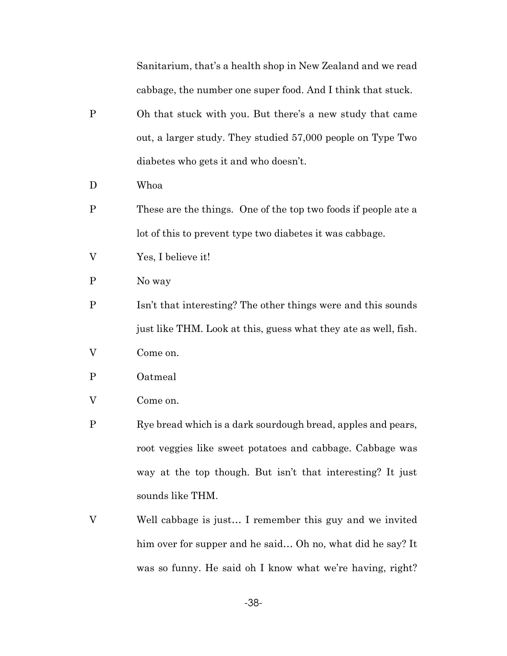Sanitarium, that's a health shop in New Zealand and we read cabbage, the number one super food. And I think that stuck.

- P Oh that stuck with you. But there's a new study that came out, a larger study. They studied 57,000 people on Type Two diabetes who gets it and who doesn't.
- D Whoa
- P These are the things. One of the top two foods if people ate a lot of this to prevent type two diabetes it was cabbage.
- V Yes, I believe it!
- P No way
- P Isn't that interesting? The other things were and this sounds just like THM. Look at this, guess what they ate as well, fish.
- V Come on.
- P Oatmeal
- V Come on.
- P Rye bread which is a dark sourdough bread, apples and pears, root veggies like sweet potatoes and cabbage. Cabbage was way at the top though. But isn't that interesting? It just sounds like THM.
- V Well cabbage is just… I remember this guy and we invited him over for supper and he said... Oh no, what did he say? It was so funny. He said oh I know what we're having, right?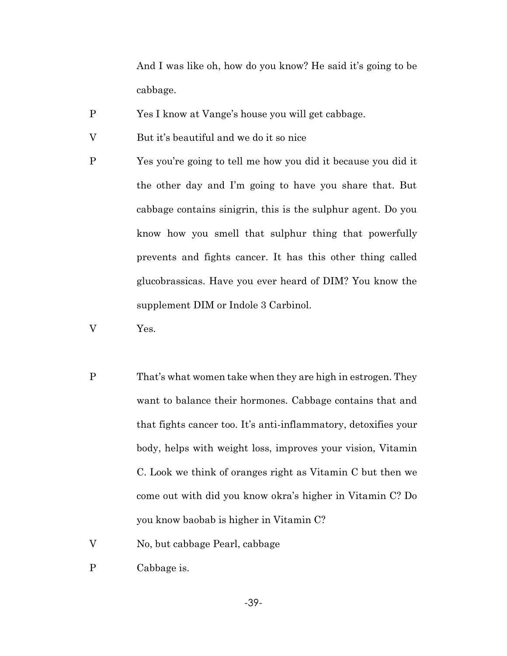And I was like oh, how do you know? He said it's going to be cabbage.

- P Yes I know at Vange's house you will get cabbage.
- V But it's beautiful and we do it so nice
- P Yes you're going to tell me how you did it because you did it the other day and I'm going to have you share that. But cabbage contains sinigrin, this is the sulphur agent. Do you know how you smell that sulphur thing that powerfully prevents and fights cancer. It has this other thing called glucobrassicas. Have you ever heard of DIM? You know the supplement DIM or Indole 3 Carbinol.
- V Yes.
- P That's what women take when they are high in estrogen. They want to balance their hormones. Cabbage contains that and that fights cancer too. It's anti-inflammatory, detoxifies your body, helps with weight loss, improves your vision, Vitamin C. Look we think of oranges right as Vitamin C but then we come out with did you know okra's higher in Vitamin C? Do you know baobab is higher in Vitamin C?
- V No, but cabbage Pearl, cabbage
- P Cabbage is.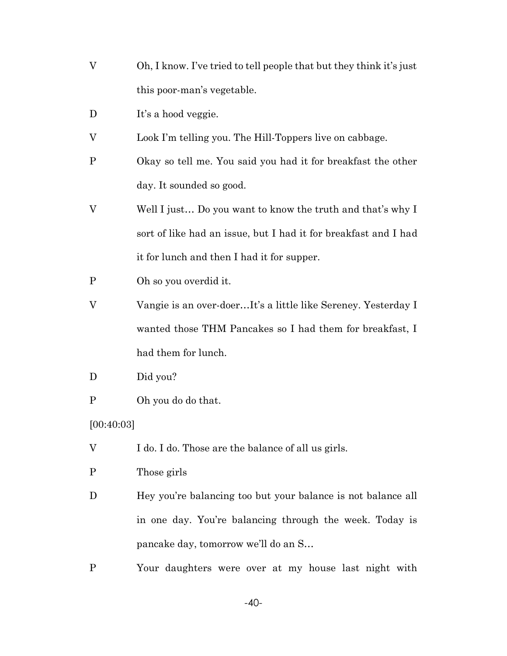- V Oh, I know. I've tried to tell people that but they think it's just this poor-man's vegetable.
- D It's a hood veggie.
- V Look I'm telling you. The Hill-Toppers live on cabbage.
- P Okay so tell me. You said you had it for breakfast the other day. It sounded so good.
- V Well I just… Do you want to know the truth and that's why I sort of like had an issue, but I had it for breakfast and I had it for lunch and then I had it for supper.
- P Oh so you overdid it.
- V Vangie is an over-doer…It's a little like Sereney. Yesterday I wanted those THM Pancakes so I had them for breakfast, I had them for lunch.
- D Did you?
- P Oh you do do that.

[00:40:03]

- V I do. I do. Those are the balance of all us girls.
- P Those girls
- D Hey you're balancing too but your balance is not balance all in one day. You're balancing through the week. Today is pancake day, tomorrow we'll do an S…
- P Your daughters were over at my house last night with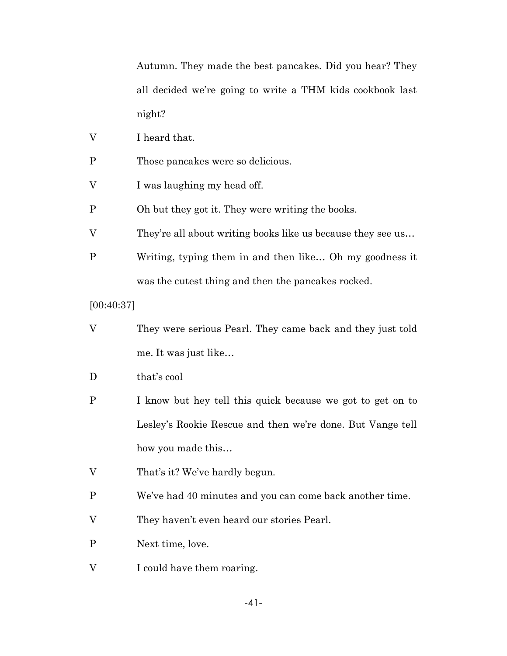Autumn. They made the best pancakes. Did you hear? They all decided we're going to write a THM kids cookbook last night?

- V I heard that.
- P Those pancakes were so delicious.
- V I was laughing my head off.
- P Oh but they got it. They were writing the books.
- V They're all about writing books like us because they see us…
- P Writing, typing them in and then like… Oh my goodness it was the cutest thing and then the pancakes rocked.

[00:40:37]

- V They were serious Pearl. They came back and they just told me. It was just like…
- D that's cool
- P I know but hey tell this quick because we got to get on to Lesley's Rookie Rescue and then we're done. But Vange tell how you made this…
- V That's it? We've hardly begun.
- P We've had 40 minutes and you can come back another time.
- V They haven't even heard our stories Pearl.
- P Next time, love.
- V I could have them roaring.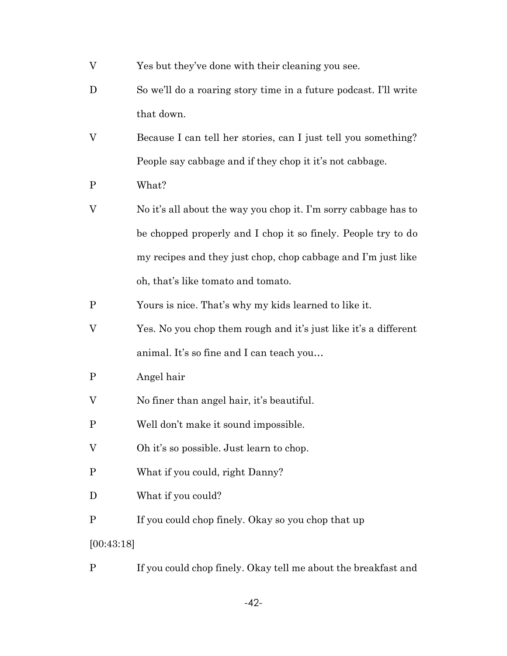- V Yes but they've done with their cleaning you see.
- D So we'll do a roaring story time in a future podcast. I'll write that down.
- V Because I can tell her stories, can I just tell you something? People say cabbage and if they chop it it's not cabbage.
- P What?
- V No it's all about the way you chop it. I'm sorry cabbage has to be chopped properly and I chop it so finely. People try to do my recipes and they just chop, chop cabbage and I'm just like oh, that's like tomato and tomato.
- P Yours is nice. That's why my kids learned to like it.
- V Yes. No you chop them rough and it's just like it's a different animal. It's so fine and I can teach you…
- P Angel hair
- V No finer than angel hair, it's beautiful.
- P Well don't make it sound impossible.
- V Oh it's so possible. Just learn to chop.
- P What if you could, right Danny?
- D What if you could?
- P If you could chop finely. Okay so you chop that up
- [00:43:18]
- P If you could chop finely. Okay tell me about the breakfast and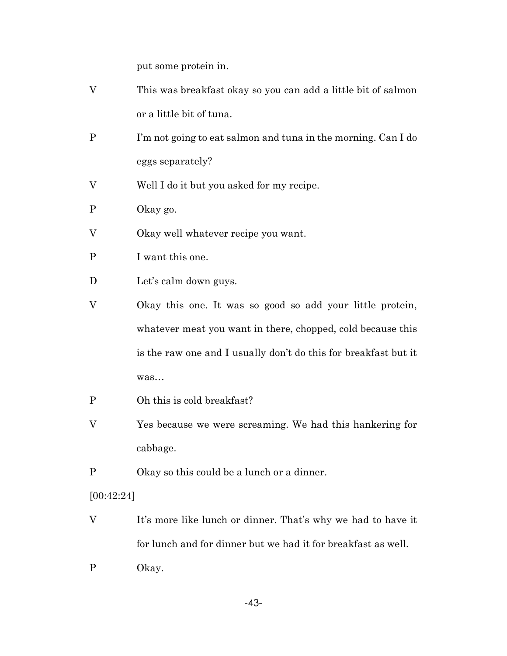put some protein in.

| V            | This was breakfast okay so you can add a little bit of salmon   |
|--------------|-----------------------------------------------------------------|
|              | or a little bit of tuna.                                        |
| P            | I'm not going to eat salmon and tuna in the morning. Can I do   |
|              | eggs separately?                                                |
| V            | Well I do it but you asked for my recipe.                       |
| $\mathbf{P}$ | Okay go.                                                        |
| V            | Okay well whatever recipe you want.                             |
| P            | I want this one.                                                |
| D            | Let's calm down guys.                                           |
| V            | Okay this one. It was so good so add your little protein,       |
|              | whatever meat you want in there, chopped, cold because this     |
|              | is the raw one and I usually don't do this for breakfast but it |
|              | was                                                             |
| P            | Oh this is cold breakfast?                                      |

- V Yes because we were screaming. We had this hankering for cabbage.
- P Okay so this could be a lunch or a dinner.

[00:42:24]

- V It's more like lunch or dinner. That's why we had to have it for lunch and for dinner but we had it for breakfast as well.
- P Okay.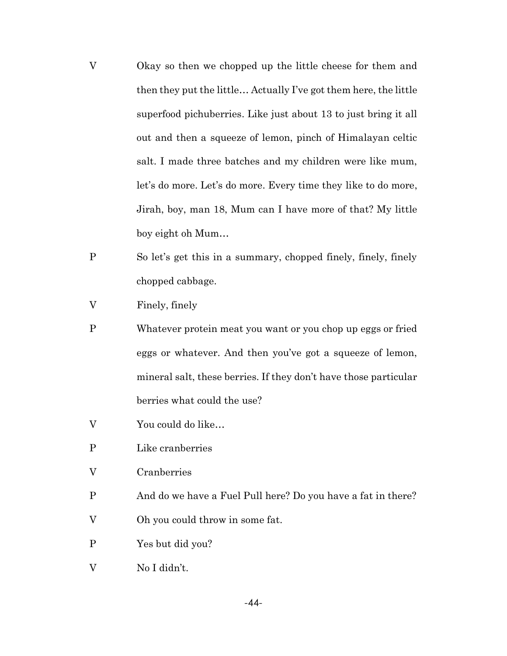- V Okay so then we chopped up the little cheese for them and then they put the little… Actually I've got them here, the little superfood pichuberries. Like just about 13 to just bring it all out and then a squeeze of lemon, pinch of Himalayan celtic salt. I made three batches and my children were like mum, let's do more. Let's do more. Every time they like to do more, Jirah, boy, man 18, Mum can I have more of that? My little boy eight oh Mum…
- P So let's get this in a summary, chopped finely, finely, finely chopped cabbage.
- V Finely, finely
- P Whatever protein meat you want or you chop up eggs or fried eggs or whatever. And then you've got a squeeze of lemon, mineral salt, these berries. If they don't have those particular berries what could the use?
- V You could do like…
- P Like cranberries
- V Cranberries
- P And do we have a Fuel Pull here? Do you have a fat in there?
- V Oh you could throw in some fat.
- P Yes but did you?
- V No I didn't.

-44-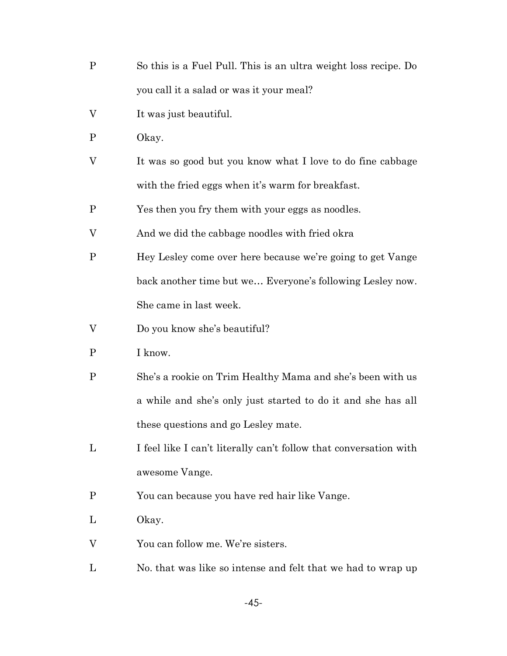- P So this is a Fuel Pull. This is an ultra weight loss recipe. Do you call it a salad or was it your meal?
- V It was just beautiful.
- P Okay.
- V It was so good but you know what I love to do fine cabbage with the fried eggs when it's warm for breakfast.

P Yes then you fry them with your eggs as noodles.

- V And we did the cabbage noodles with fried okra
- P Hey Lesley come over here because we're going to get Vange back another time but we… Everyone's following Lesley now. She came in last week.
- V Do you know she's beautiful?
- P I know.
- P She's a rookie on Trim Healthy Mama and she's been with us a while and she's only just started to do it and she has all these questions and go Lesley mate.
- L I feel like I can't literally can't follow that conversation with awesome Vange.
- P You can because you have red hair like Vange.
- L Okay.
- V You can follow me. We're sisters.
- L No. that was like so intense and felt that we had to wrap up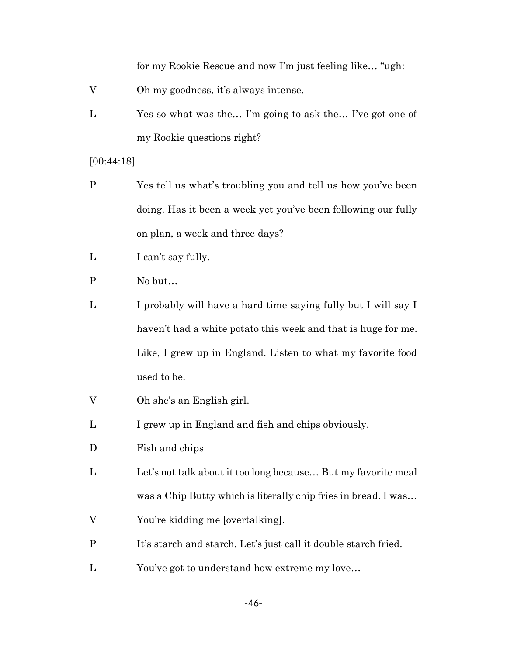for my Rookie Rescue and now I'm just feeling like… "ugh:

- V Oh my goodness, it's always intense.
- L Yes so what was the… I'm going to ask the… I've got one of my Rookie questions right?

#### [00:44:18]

- P Yes tell us what's troubling you and tell us how you've been doing. Has it been a week yet you've been following our fully on plan, a week and three days?
- L I can't say fully.
- P No but…
- L I probably will have a hard time saying fully but I will say I haven't had a white potato this week and that is huge for me. Like, I grew up in England. Listen to what my favorite food used to be.
- V Oh she's an English girl.
- L I grew up in England and fish and chips obviously.
- D Fish and chips
- L Let's not talk about it too long because... But my favorite meal was a Chip Butty which is literally chip fries in bread. I was…
- V You're kidding me [overtalking].
- P It's starch and starch. Let's just call it double starch fried.
- L You've got to understand how extreme my love…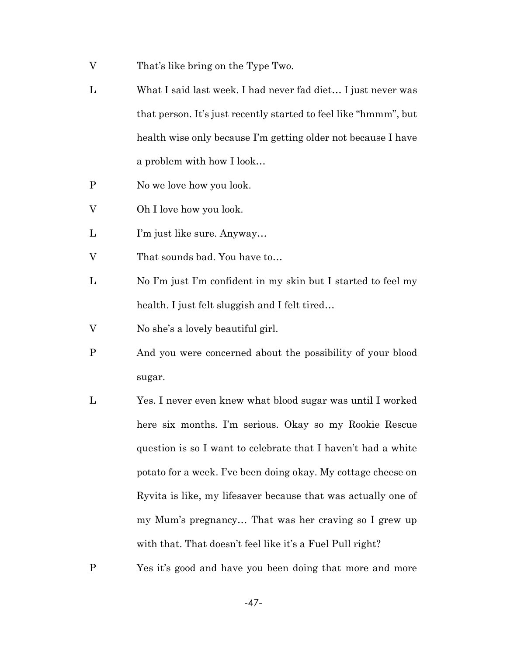- V That's like bring on the Type Two.
- L What I said last week. I had never fad diet… I just never was that person. It's just recently started to feel like "hmmm", but health wise only because I'm getting older not because I have a problem with how I look…
- P No we love how you look.
- V Oh I love how you look.
- L I'm just like sure. Anyway…
- V That sounds bad. You have to…
- L No I'm just I'm confident in my skin but I started to feel my health. I just felt sluggish and I felt tired…
- V No she's a lovely beautiful girl.
- P And you were concerned about the possibility of your blood sugar.
- L Yes. I never even knew what blood sugar was until I worked here six months. I'm serious. Okay so my Rookie Rescue question is so I want to celebrate that I haven't had a white potato for a week. I've been doing okay. My cottage cheese on Ryvita is like, my lifesaver because that was actually one of my Mum's pregnancy… That was her craving so I grew up with that. That doesn't feel like it's a Fuel Pull right?
- P Yes it's good and have you been doing that more and more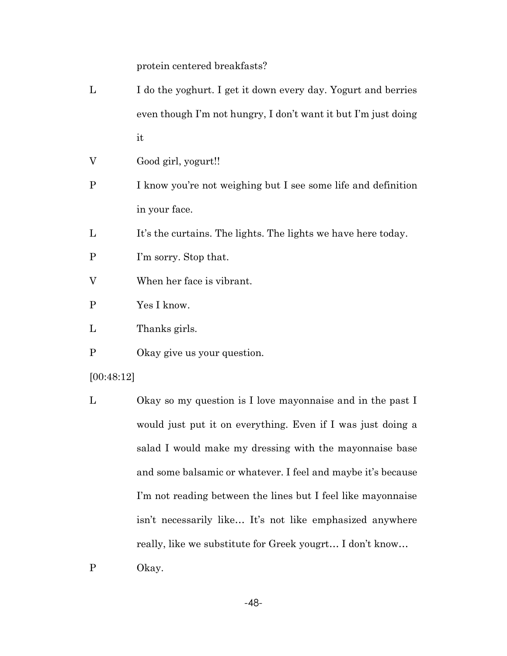protein centered breakfasts?

- L I do the yoghurt. I get it down every day. Yogurt and berries even though I'm not hungry, I don't want it but I'm just doing it
- V Good girl, yogurt!!
- P I know you're not weighing but I see some life and definition in your face.
- L It's the curtains. The lights. The lights we have here today.
- P I'm sorry. Stop that.
- V When her face is vibrant.
- P Yes I know.
- L Thanks girls.
- P Okay give us your question.

# [00:48:12]

- L Okay so my question is I love mayonnaise and in the past I would just put it on everything. Even if I was just doing a salad I would make my dressing with the mayonnaise base and some balsamic or whatever. I feel and maybe it's because I'm not reading between the lines but I feel like mayonnaise isn't necessarily like… It's not like emphasized anywhere really, like we substitute for Greek yougrt… I don't know…
- P Okay.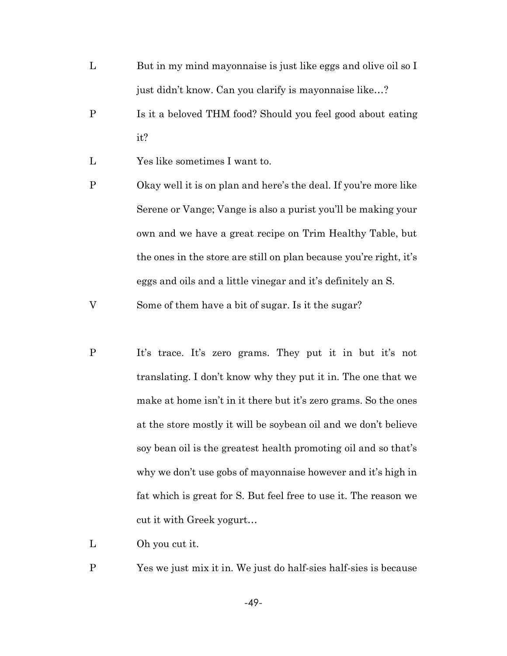- L But in my mind mayonnaise is just like eggs and olive oil so I just didn't know. Can you clarify is mayonnaise like…?
- P Is it a beloved THM food? Should you feel good about eating it?
- L Yes like sometimes I want to.
- P Okay well it is on plan and here's the deal. If you're more like Serene or Vange; Vange is also a purist you'll be making your own and we have a great recipe on Trim Healthy Table, but the ones in the store are still on plan because you're right, it's eggs and oils and a little vinegar and it's definitely an S.

V Some of them have a bit of sugar. Is it the sugar?

P It's trace. It's zero grams. They put it in but it's not translating. I don't know why they put it in. The one that we make at home isn't in it there but it's zero grams. So the ones at the store mostly it will be soybean oil and we don't believe soy bean oil is the greatest health promoting oil and so that's why we don't use gobs of mayonnaise however and it's high in fat which is great for S. But feel free to use it. The reason we cut it with Greek yogurt…

L Oh you cut it.

P Yes we just mix it in. We just do half-sies half-sies is because

-49-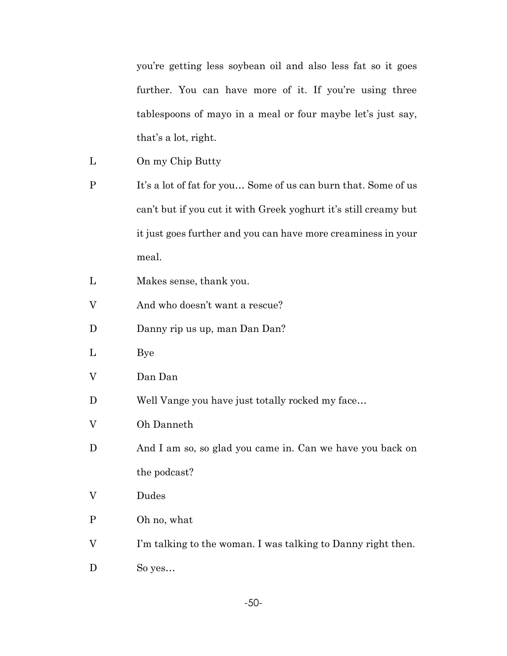you're getting less soybean oil and also less fat so it goes further. You can have more of it. If you're using three tablespoons of mayo in a meal or four maybe let's just say, that's a lot, right.

- L On my Chip Butty
- P It's a lot of fat for you... Some of us can burn that. Some of us can't but if you cut it with Greek yoghurt it's still creamy but it just goes further and you can have more creaminess in your meal.
- L Makes sense, thank you.
- V And who doesn't want a rescue?
- D Danny rip us up, man Dan Dan?
- L Bye
- V Dan Dan
- D Well Vange you have just totally rocked my face...
- V Oh Danneth
- D And I am so, so glad you came in. Can we have you back on the podcast?
- V Dudes
- P Oh no, what
- V I'm talking to the woman. I was talking to Danny right then.
- D So yes...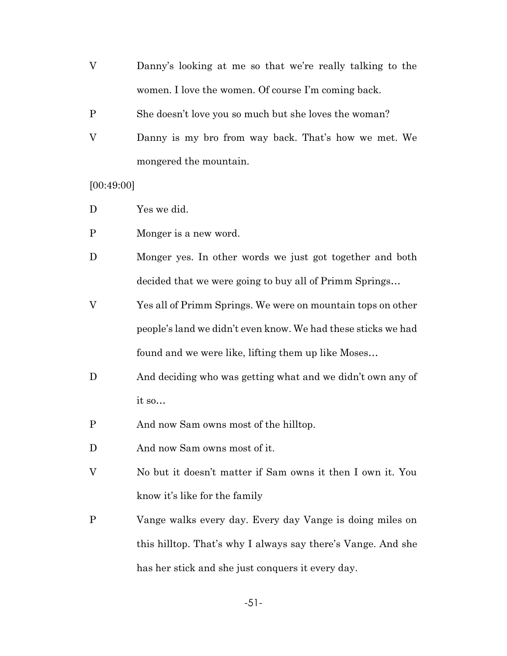- V Danny's looking at me so that we're really talking to the women. I love the women. Of course I'm coming back.
- P She doesn't love you so much but she loves the woman?
- V Danny is my bro from way back. That's how we met. We mongered the mountain.

[00:49:00]

- D Yes we did.
- P Monger is a new word.
- D Monger yes. In other words we just got together and both decided that we were going to buy all of Primm Springs…
- V Yes all of Primm Springs. We were on mountain tops on other people's land we didn't even know. We had these sticks we had found and we were like, lifting them up like Moses…
- D And deciding who was getting what and we didn't own any of it so…
- P And now Sam owns most of the hilltop.
- D And now Sam owns most of it.
- V No but it doesn't matter if Sam owns it then I own it. You know it's like for the family
- P Vange walks every day. Every day Vange is doing miles on this hilltop. That's why I always say there's Vange. And she has her stick and she just conquers it every day.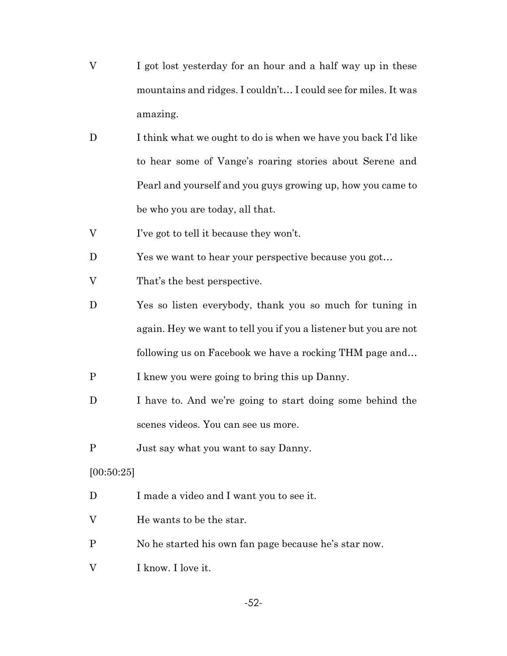- V I got lost yesterday for an hour and a half way up in these mountains and ridges. I couldn't… I could see for miles. It was amazing.
- D I think what we ought to do is when we have you back I'd like to hear some of Vange's roaring stories about Serene and Pearl and yourself and you guys growing up, how you came to be who you are today, all that.
- V I've got to tell it because they won't.
- D Yes we want to hear your perspective because you got...
- V That's the best perspective.
- D Yes so listen everybody, thank you so much for tuning in again. Hey we want to tell you if you a listener but you are not following us on Facebook we have a rocking THM page and…
- P I knew you were going to bring this up Danny.
- D I have to. And we're going to start doing some behind the scenes videos. You can see us more.
- P Just say what you want to say Danny.

# [00:50:25]

- D I made a video and I want you to see it.
- V He wants to be the star.
- P No he started his own fan page because he's star now.
- V I know. I love it.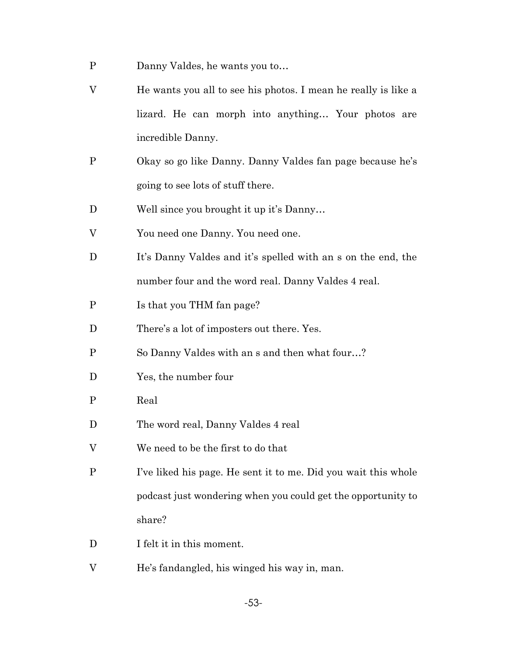- P Danny Valdes, he wants you to…
- V He wants you all to see his photos. I mean he really is like a lizard. He can morph into anything… Your photos are incredible Danny.
- P Okay so go like Danny. Danny Valdes fan page because he's going to see lots of stuff there.
- D Well since you brought it up it's Danny...
- V You need one Danny. You need one.
- D It's Danny Valdes and it's spelled with an s on the end, the number four and the word real. Danny Valdes 4 real.
- P Is that you THM fan page?
- D There's a lot of imposters out there. Yes.
- P So Danny Valdes with an s and then what four…?
- D Yes, the number four
- P Real
- D The word real, Danny Valdes 4 real
- V We need to be the first to do that
- P I've liked his page. He sent it to me. Did you wait this whole podcast just wondering when you could get the opportunity to share?
- D I felt it in this moment.
- V He's fandangled, his winged his way in, man.